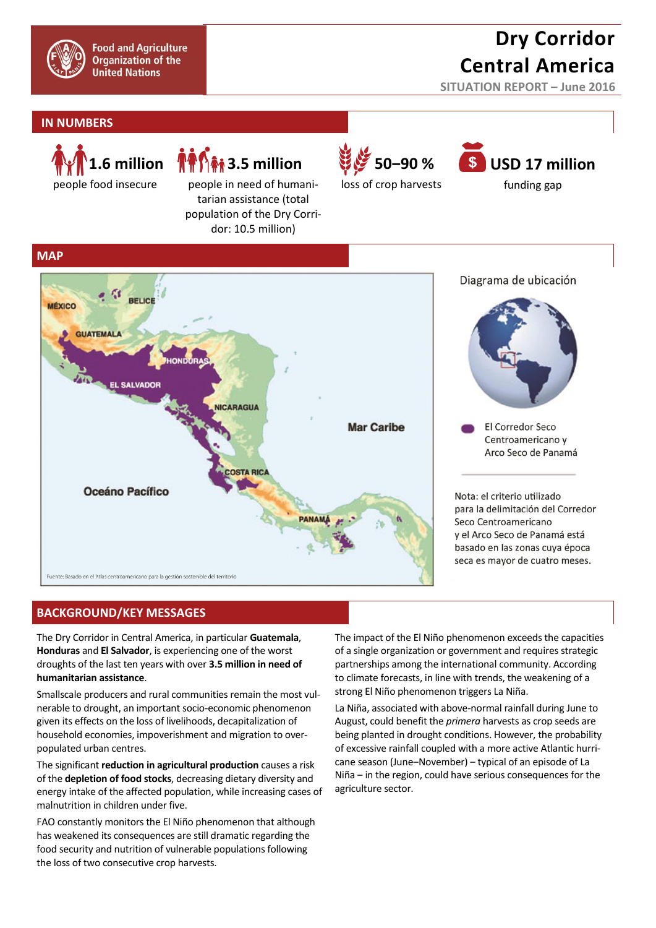

# **Dry Corridor Central America**

**SITUATION REPORT – June 2016**

### **IN NUMBERS**



people in need of humanitarian assistance (total population of the Dry Corridor: 10.5 million)



## **USD 17 million**

funding gap



## **BACKGROUND/KEY MESSAGES**

The Dry Corridor in Central America, in particular **Guatemala**, **Honduras** and **El Salvador**, is experiencing one of the worst droughts of the last ten years with over **3.5 million in need of humanitarian assistance**.

Smallscale producers and rural communities remain the most vulnerable to drought, an important socio-economic phenomenon given its effects on the loss of livelihoods, decapitalization of household economies, impoverishment and migration to overpopulated urban centres.

The significant **reduction in agricultural production** causes a risk of the **depletion of food stocks**, decreasing dietary diversity and energy intake of the affected population, while increasing cases of malnutrition in children under five.

FAO constantly monitors the El Niño phenomenon that although has weakened its consequences are still dramatic regarding the food security and nutrition of vulnerable populations following the loss of two consecutive crop harvests.

The impact of the El Niño phenomenon exceeds the capacities of a single organization or government and requires strategic partnerships among the international community. According to climate forecasts, in line with trends, the weakening of a strong El Niño phenomenon triggers La Niña.

La Niña, associated with above-normal rainfall during June to August, could benefit the *primera* harvests as crop seeds are being planted in drought conditions. However, the probability of excessive rainfall coupled with a more active Atlantic hurricane season (June-November) – typical of an episode of La Niña – in the region, could have serious consequences for the agriculture sector.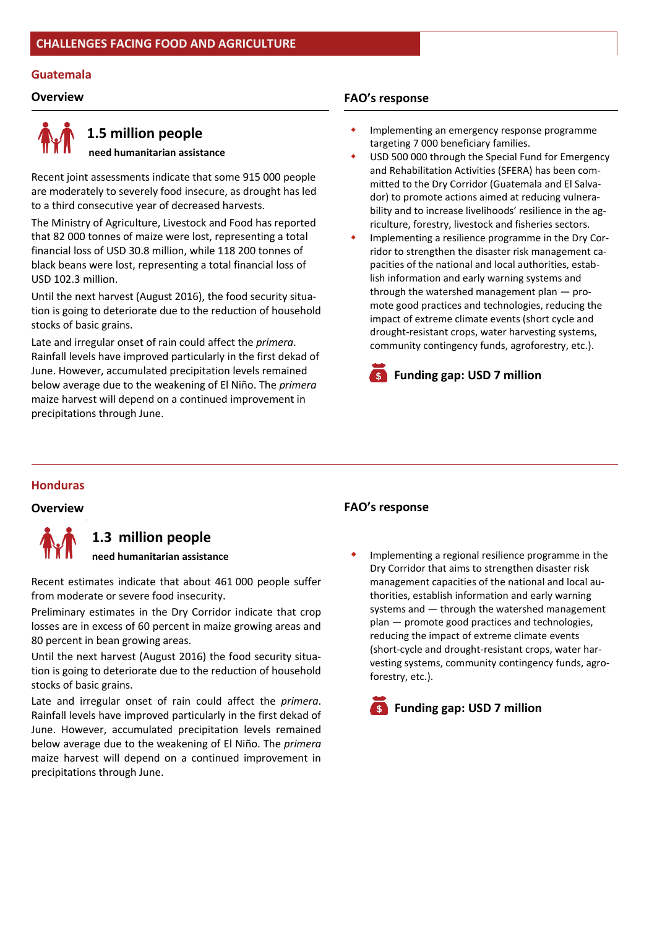#### **Guatemala**



## **1.5 million people**

 **need humanitarian assistance**

Recent joint assessments indicate that some 915 000 people are moderately to severely food insecure, as drought has led to a third consecutive year of decreased harvests.

The Ministry of Agriculture, Livestock and Food has reported that 82 000 tonnes of maize were lost, representing a total financial loss of USD 30.8 million, while 118 200 tonnes of black beans were lost, representing a total financial loss of USD 102.3 million.

Until the next harvest (August 2016), the food security situation is going to deteriorate due to the reduction of household stocks of basic grains.

Late and irregular onset of rain could affect the *primera*. Rainfall levels have improved particularly in the first dekad of June. However, accumulated precipitation levels remained below average due to the weakening of El Niño. The *primera* maize harvest will depend on a continued improvement in precipitations through June.

### **Overview FAO's response**

- Implementing an emergency response programme targeting 7 000 beneficiary families.
- USD 500 000 through the Special Fund for Emergency and Rehabilitation Activities (SFERA) has been committed to the Dry Corridor (Guatemala and El Salvador) to promote actions aimed at reducing vulnerability and to increase livelihoods' resilience in the agriculture, forestry, livestock and fisheries sectors.
- Implementing a resilience programme in the Dry Corridor to strengthen the disaster risk management capacities of the national and local authorities, establish information and early warning systems and through the watershed management plan — promote good practices and technologies, reducing the impact of extreme climate events (short cycle and drought-resistant crops, water harvesting systems, community contingency funds, agroforestry, etc.).



#### **Honduras**



## **1.3 million people**

**need humanitarian assistance**

Recent estimates indicate that about 461 000 people suffer from moderate or severe food insecurity.

Preliminary estimates in the Dry Corridor indicate that crop losses are in excess of 60 percent in maize growing areas and 80 percent in bean growing areas.

Until the next harvest (August 2016) the food security situation is going to deteriorate due to the reduction of household stocks of basic grains.

Late and irregular onset of rain could affect the *primera*. Rainfall levels have improved particularly in the first dekad of June. However, accumulated precipitation levels remained below average due to the weakening of El Niño. The *primera* maize harvest will depend on a continued improvement in precipitations through June.

### **Overview FAO's response**

 Implementing a regional resilience programme in the Dry Corridor that aims to strengthen disaster risk management capacities of the national and local authorities, establish information and early warning systems and — through the watershed management plan — promote good practices and technologies, reducing the impact of extreme climate events (short-cycle and drought-resistant crops, water harvesting systems, community contingency funds, agroforestry, etc.).